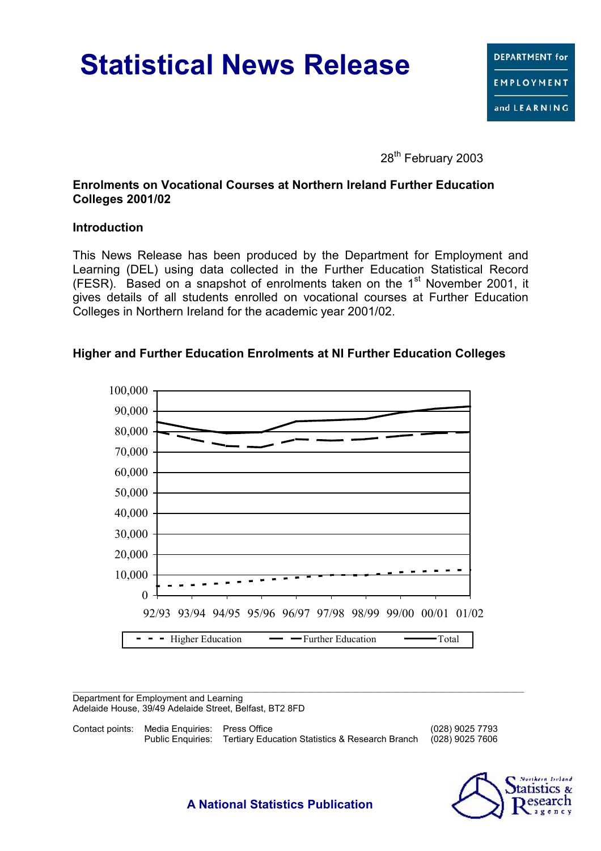# **Statistical News Release**

28<sup>th</sup> February 2003

### **Enrolments on Vocational Courses at Northern Ireland Further Education Colleges 2001/02**

### **Introduction**

This News Release has been produced by the Department for Employment and Learning (DEL) using data collected in the Further Education Statistical Record (FESR). Based on a snapshot of enrolments taken on the  $1<sup>st</sup>$  November 2001, it gives details of all students enrolled on vocational courses at Further Education Colleges in Northern Ireland for the academic year 2001/02.

## **Higher and Further Education Enrolments at NI Further Education Colleges**



Department for Employment and Learning Adelaide House, 39/49 Adelaide Street, Belfast, BT2 8FD

Contact points: Media Enquiries: Press Office (028) 9025 7793 Public Enquiries: Tertiary Education Statistics & Research Branch (028) 9025 7606



**A National Statistics Publication**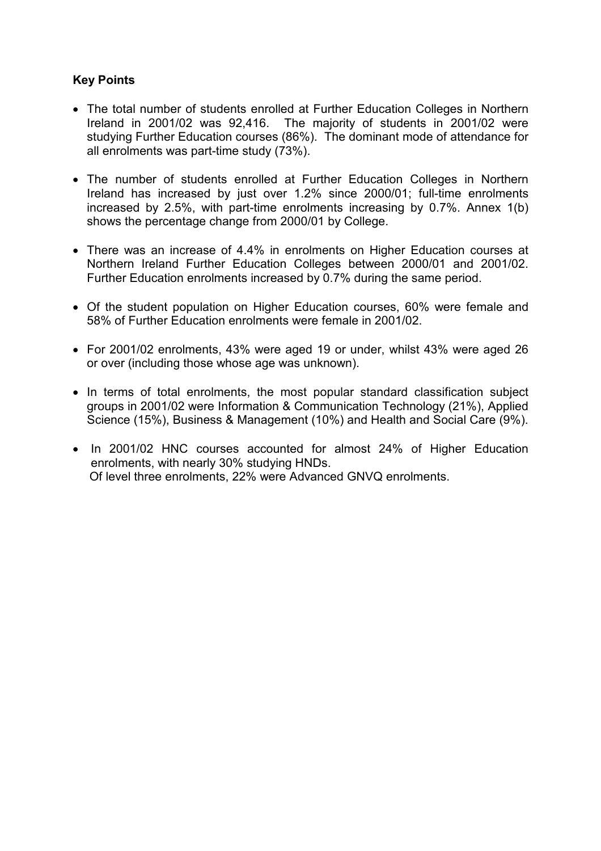## **Key Points**

- The total number of students enrolled at Further Education Colleges in Northern Ireland in 2001/02 was 92,416. The majority of students in 2001/02 were studying Further Education courses (86%). The dominant mode of attendance for all enrolments was part-time study (73%).
- The number of students enrolled at Further Education Colleges in Northern Ireland has increased by just over 1.2% since 2000/01; full-time enrolments increased by 2.5%, with part-time enrolments increasing by 0.7%. Annex 1(b) shows the percentage change from 2000/01 by College.
- There was an increase of 4.4% in enrolments on Higher Education courses at Northern Ireland Further Education Colleges between 2000/01 and 2001/02. Further Education enrolments increased by 0.7% during the same period.
- Of the student population on Higher Education courses, 60% were female and 58% of Further Education enrolments were female in 2001/02.
- For 2001/02 enrolments, 43% were aged 19 or under, whilst 43% were aged 26 or over (including those whose age was unknown).
- In terms of total enrolments, the most popular standard classification subject groups in 2001/02 were Information & Communication Technology (21%), Applied Science (15%), Business & Management (10%) and Health and Social Care (9%).
- In 2001/02 HNC courses accounted for almost 24% of Higher Education enrolments, with nearly 30% studying HNDs. Of level three enrolments, 22% were Advanced GNVQ enrolments.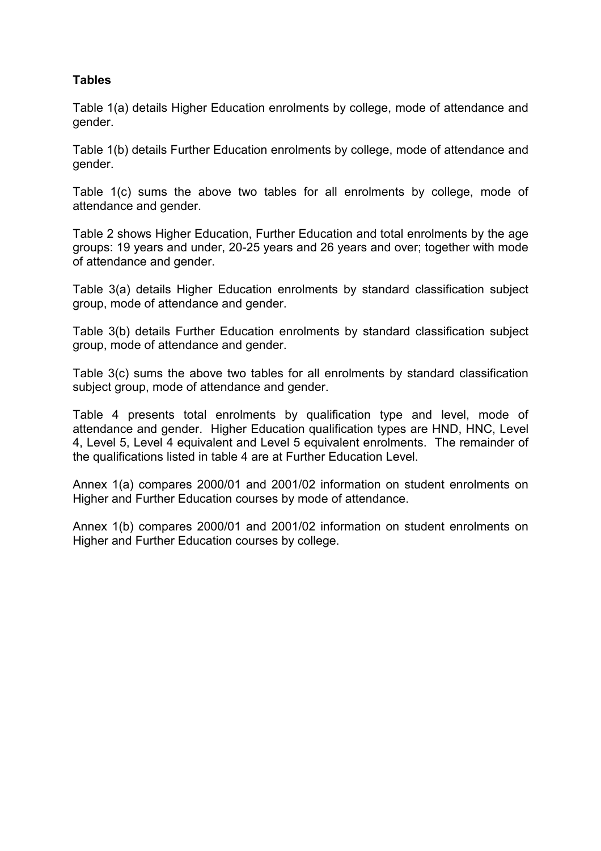## **Tables**

Table 1(a) details Higher Education enrolments by college, mode of attendance and gender.

Table 1(b) details Further Education enrolments by college, mode of attendance and gender.

Table 1(c) sums the above two tables for all enrolments by college, mode of attendance and gender.

Table 2 shows Higher Education, Further Education and total enrolments by the age groups: 19 years and under, 20-25 years and 26 years and over; together with mode of attendance and gender.

Table 3(a) details Higher Education enrolments by standard classification subject group, mode of attendance and gender.

Table 3(b) details Further Education enrolments by standard classification subject group, mode of attendance and gender.

Table 3(c) sums the above two tables for all enrolments by standard classification subject group, mode of attendance and gender.

Table 4 presents total enrolments by qualification type and level, mode of attendance and gender. Higher Education qualification types are HND, HNC, Level 4, Level 5, Level 4 equivalent and Level 5 equivalent enrolments. The remainder of the qualifications listed in table 4 are at Further Education Level.

Annex 1(a) compares 2000/01 and 2001/02 information on student enrolments on Higher and Further Education courses by mode of attendance.

Annex 1(b) compares 2000/01 and 2001/02 information on student enrolments on Higher and Further Education courses by college.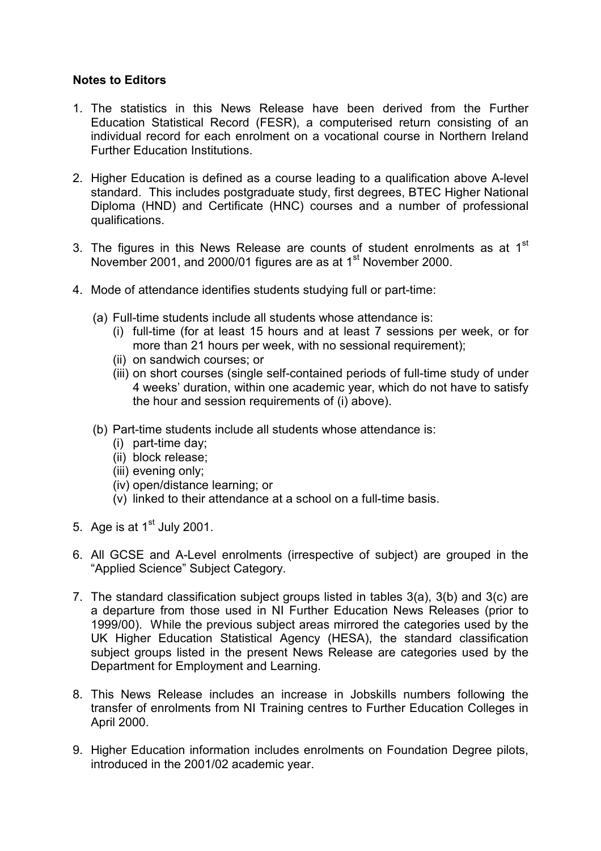### **Notes to Editors**

- 1. The statistics in this News Release have been derived from the Further Education Statistical Record (FESR), a computerised return consisting of an individual record for each enrolment on a vocational course in Northern Ireland Further Education Institutions.
- 2. Higher Education is defined as a course leading to a qualification above A-level standard. This includes postgraduate study, first degrees, BTEC Higher National Diploma (HND) and Certificate (HNC) courses and a number of professional qualifications.
- 3. The figures in this News Release are counts of student enrolments as at  $1<sup>st</sup>$ November 2001, and 2000/01 figures are as at 1<sup>st</sup> November 2000.
- 4. Mode of attendance identifies students studying full or part-time:
	- (a) Full-time students include all students whose attendance is:
		- (i) full-time (for at least 15 hours and at least 7 sessions per week, or for more than 21 hours per week, with no sessional requirement);
		- (ii) on sandwich courses; or
		- (iii) on short courses (single self-contained periods of full-time study of under 4 weeks' duration, within one academic year, which do not have to satisfy the hour and session requirements of (i) above).
	- (b) Part-time students include all students whose attendance is:
		- (i) part-time day;
		- (ii) block release;
		- (iii) evening only;
		- (iv) open/distance learning; or
		- (v) linked to their attendance at a school on a full-time basis.
- 5. Age is at  $1<sup>st</sup>$  July 2001.
- 6. All GCSE and A-Level enrolments (irrespective of subject) are grouped in the "Applied Science" Subject Category.
- 7. The standard classification subject groups listed in tables 3(a), 3(b) and 3(c) are a departure from those used in NI Further Education News Releases (prior to 1999/00). While the previous subject areas mirrored the categories used by the UK Higher Education Statistical Agency (HESA), the standard classification subject groups listed in the present News Release are categories used by the Department for Employment and Learning.
- 8. This News Release includes an increase in Jobskills numbers following the transfer of enrolments from NI Training centres to Further Education Colleges in April 2000.
- 9. Higher Education information includes enrolments on Foundation Degree pilots, introduced in the 2001/02 academic year.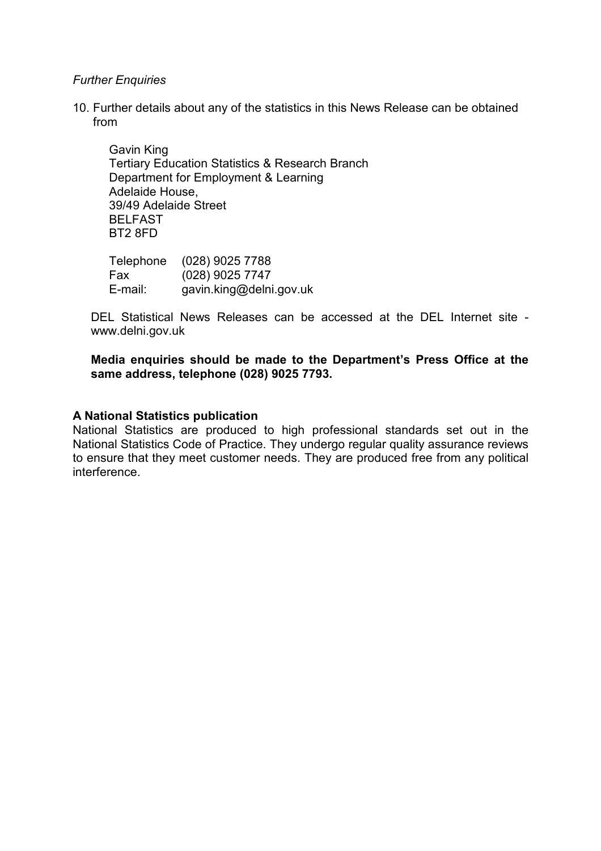#### *Further Enquiries*

10. Further details about any of the statistics in this News Release can be obtained from

Gavin King Tertiary Education Statistics & Research Branch Department for Employment & Learning Adelaide House, 39/49 Adelaide Street BELFAST BT2 8FD

Telephone (028) 9025 7788 Fax (028) 9025 7747 E-mail: gavin.king@delni.gov.uk

DEL Statistical News Releases can be accessed at the DEL Internet site www.delni.gov.uk

### **Media enquiries should be made to the Department's Press Office at the same address, telephone (028) 9025 7793.**

#### **A National Statistics publication**

National Statistics are produced to high professional standards set out in the National Statistics Code of Practice. They undergo regular quality assurance reviews to ensure that they meet customer needs. They are produced free from any political interference.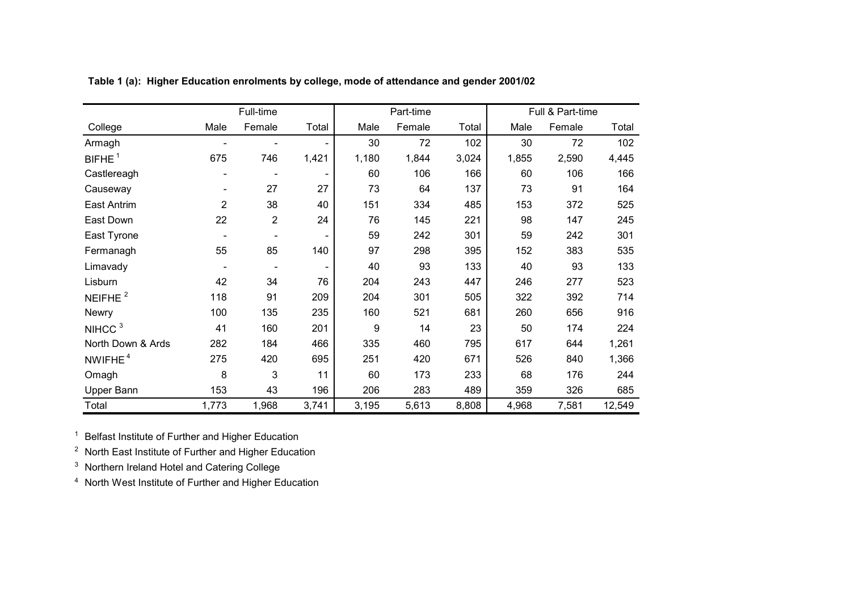|                     |                | Full-time      |       |       | Part-time |       |       | Full & Part-time |        |
|---------------------|----------------|----------------|-------|-------|-----------|-------|-------|------------------|--------|
| College             | Male           | Female         | Total | Male  | Female    | Total | Male  | Female           | Total  |
| Armagh              |                |                |       | 30    | 72        | 102   | 30    | 72               | 102    |
| BIFHE <sup>1</sup>  | 675            | 746            | 1,421 | 1,180 | 1,844     | 3,024 | 1,855 | 2,590            | 4,445  |
| Castlereagh         |                |                |       | 60    | 106       | 166   | 60    | 106              | 166    |
| Causeway            |                | 27             | 27    | 73    | 64        | 137   | 73    | 91               | 164    |
| East Antrim         | $\overline{2}$ | 38             | 40    | 151   | 334       | 485   | 153   | 372              | 525    |
| East Down           | 22             | $\overline{2}$ | 24    | 76    | 145       | 221   | 98    | 147              | 245    |
| East Tyrone         |                |                |       | 59    | 242       | 301   | 59    | 242              | 301    |
| Fermanagh           | 55             | 85             | 140   | 97    | 298       | 395   | 152   | 383              | 535    |
| Limavady            |                |                |       | 40    | 93        | 133   | 40    | 93               | 133    |
| Lisburn             | 42             | 34             | 76    | 204   | 243       | 447   | 246   | 277              | 523    |
| NEIFHE $2$          | 118            | 91             | 209   | 204   | 301       | 505   | 322   | 392              | 714    |
| <b>Newry</b>        | 100            | 135            | 235   | 160   | 521       | 681   | 260   | 656              | 916    |
| NIHCC <sup>3</sup>  | 41             | 160            | 201   | 9     | 14        | 23    | 50    | 174              | 224    |
| North Down & Ards   | 282            | 184            | 466   | 335   | 460       | 795   | 617   | 644              | 1,261  |
| NWIFHE <sup>4</sup> | 275            | 420            | 695   | 251   | 420       | 671   | 526   | 840              | 1,366  |
| Omagh               | 8              | 3              | 11    | 60    | 173       | 233   | 68    | 176              | 244    |
| Upper Bann          | 153            | 43             | 196   | 206   | 283       | 489   | 359   | 326              | 685    |
| Total               | 1,773          | 1,968          | 3,741 | 3,195 | 5,613     | 8,808 | 4,968 | 7,581            | 12,549 |

**Table 1 (a): Higher Education enrolments by college, mode of attendance and gender 2001/02**

<sup>1</sup> Belfast Institute of Further and Higher Education

 $2$  North East Institute of Further and Higher Education

 $3$  Northern Ireland Hotel and Catering College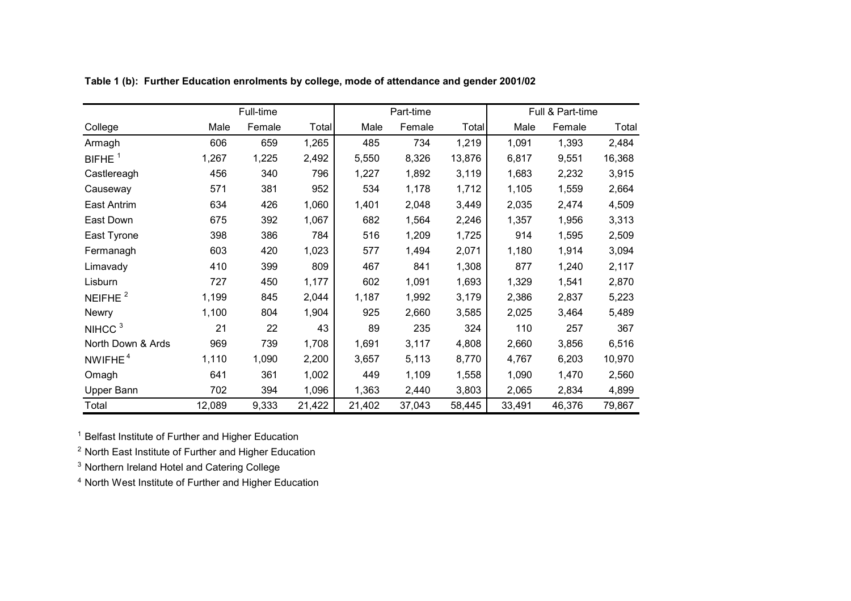|                    |        | Full-time |        |        | Part-time |        |        | Full & Part-time |        |
|--------------------|--------|-----------|--------|--------|-----------|--------|--------|------------------|--------|
| College            | Male   | Female    | Total  | Male   | Female    | Total  | Male   | Female           | Total  |
| Armagh             | 606    | 659       | 1,265  | 485    | 734       | 1,219  | 1,091  | 1,393            | 2,484  |
| BIFHE <sup>1</sup> | 1,267  | 1,225     | 2,492  | 5,550  | 8,326     | 13,876 | 6,817  | 9,551            | 16,368 |
| Castlereagh        | 456    | 340       | 796    | 1,227  | 1,892     | 3,119  | 1,683  | 2,232            | 3,915  |
| Causeway           | 571    | 381       | 952    | 534    | 1,178     | 1,712  | 1,105  | 1,559            | 2,664  |
| <b>East Antrim</b> | 634    | 426       | 1,060  | 1,401  | 2,048     | 3,449  | 2,035  | 2,474            | 4,509  |
| East Down          | 675    | 392       | 1,067  | 682    | 1,564     | 2,246  | 1,357  | 1,956            | 3,313  |
| East Tyrone        | 398    | 386       | 784    | 516    | 1,209     | 1,725  | 914    | 1,595            | 2,509  |
| Fermanagh          | 603    | 420       | 1,023  | 577    | 1,494     | 2,071  | 1,180  | 1,914            | 3,094  |
| Limavady           | 410    | 399       | 809    | 467    | 841       | 1,308  | 877    | 1,240            | 2,117  |
| Lisburn            | 727    | 450       | 1,177  | 602    | 1,091     | 1,693  | 1,329  | 1,541            | 2,870  |
| NEIFHE $2$         | 1,199  | 845       | 2,044  | 1,187  | 1,992     | 3,179  | 2,386  | 2,837            | 5,223  |
| <b>Newry</b>       | 1,100  | 804       | 1,904  | 925    | 2,660     | 3,585  | 2,025  | 3,464            | 5,489  |
| NIHCC <sup>3</sup> | 21     | 22        | 43     | 89     | 235       | 324    | 110    | 257              | 367    |
| North Down & Ards  | 969    | 739       | 1,708  | 1,691  | 3,117     | 4,808  | 2,660  | 3,856            | 6,516  |
| NWIFHE $4$         | 1,110  | 1,090     | 2,200  | 3,657  | 5,113     | 8,770  | 4,767  | 6,203            | 10,970 |
| Omagh              | 641    | 361       | 1,002  | 449    | 1,109     | 1,558  | 1,090  | 1,470            | 2,560  |
| Upper Bann         | 702    | 394       | 1,096  | 1,363  | 2,440     | 3,803  | 2,065  | 2,834            | 4,899  |
| Total              | 12,089 | 9,333     | 21,422 | 21,402 | 37,043    | 58,445 | 33,491 | 46,376           | 79,867 |

**Table 1 (b): Further Education enrolments by college, mode of attendance and gender 2001/02**

<sup>1</sup> Belfast Institute of Further and Higher Education

 $2$  North East Institute of Further and Higher Education

<sup>3</sup> Northern Ireland Hotel and Catering College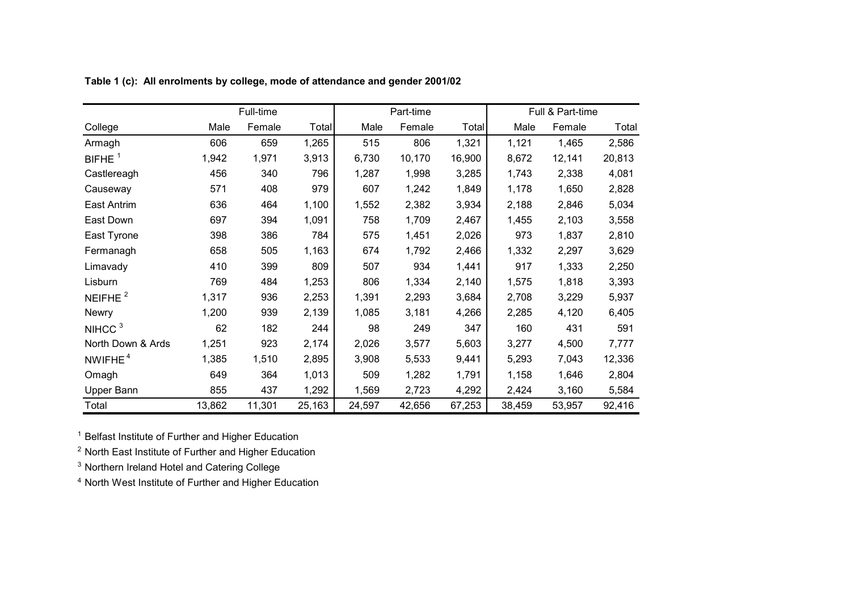|                     |        | Full-time |        |        | Part-time |        |        | Full & Part-time |        |
|---------------------|--------|-----------|--------|--------|-----------|--------|--------|------------------|--------|
| College             | Male   | Female    | Total  | Male   | Female    | Total  | Male   | Female           | Total  |
| Armagh              | 606    | 659       | 1,265  | 515    | 806       | 1,321  | 1,121  | 1,465            | 2,586  |
| BIFHE $1$           | 1,942  | 1,971     | 3,913  | 6,730  | 10,170    | 16,900 | 8,672  | 12,141           | 20,813 |
| Castlereagh         | 456    | 340       | 796    | 1,287  | 1,998     | 3,285  | 1,743  | 2,338            | 4,081  |
| Causeway            | 571    | 408       | 979    | 607    | 1,242     | 1,849  | 1,178  | 1,650            | 2,828  |
| <b>East Antrim</b>  | 636    | 464       | 1,100  | 1,552  | 2,382     | 3,934  | 2,188  | 2,846            | 5,034  |
| East Down           | 697    | 394       | 1,091  | 758    | 1,709     | 2,467  | 1,455  | 2,103            | 3,558  |
| East Tyrone         | 398    | 386       | 784    | 575    | 1,451     | 2,026  | 973    | 1,837            | 2,810  |
| Fermanagh           | 658    | 505       | 1,163  | 674    | 1,792     | 2,466  | 1,332  | 2,297            | 3,629  |
| Limavady            | 410    | 399       | 809    | 507    | 934       | 1,441  | 917    | 1,333            | 2,250  |
| Lisburn             | 769    | 484       | 1,253  | 806    | 1,334     | 2,140  | 1,575  | 1,818            | 3,393  |
| NEIFHE <sup>2</sup> | 1,317  | 936       | 2,253  | 1,391  | 2,293     | 3,684  | 2,708  | 3,229            | 5,937  |
| Newry               | 1,200  | 939       | 2,139  | 1,085  | 3,181     | 4,266  | 2,285  | 4,120            | 6,405  |
| NIHCC <sup>3</sup>  | 62     | 182       | 244    | 98     | 249       | 347    | 160    | 431              | 591    |
| North Down & Ards   | 1,251  | 923       | 2,174  | 2,026  | 3,577     | 5,603  | 3,277  | 4,500            | 7,777  |
| NWIFHE <sup>4</sup> | 1,385  | 1,510     | 2,895  | 3,908  | 5,533     | 9,441  | 5,293  | 7,043            | 12,336 |
| Omagh               | 649    | 364       | 1,013  | 509    | 1,282     | 1,791  | 1,158  | 1,646            | 2,804  |
| Upper Bann          | 855    | 437       | 1,292  | 1,569  | 2,723     | 4,292  | 2,424  | 3,160            | 5,584  |
| Total               | 13,862 | 11,301    | 25,163 | 24,597 | 42,656    | 67,253 | 38,459 | 53,957           | 92,416 |

**Table 1 (c): All enrolments by college, mode of attendance and gender 2001/02**

<sup>1</sup> Belfast Institute of Further and Higher Education

 $2$  North East Institute of Further and Higher Education

<sup>3</sup> Northern Ireland Hotel and Catering College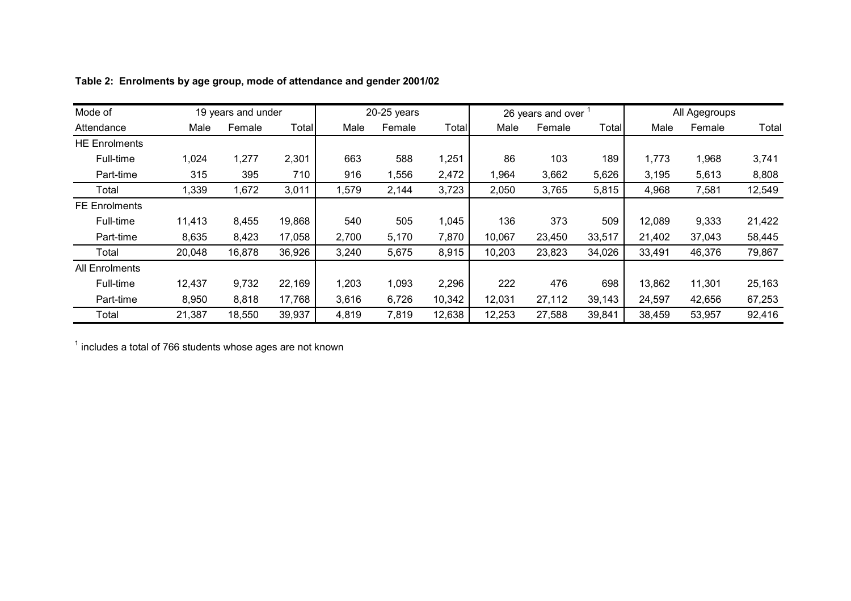| Mode of              |        | 19 years and under |              |       | $20-25$ years |        |        | 26 years and over |        |        | All Agegroups |        |
|----------------------|--------|--------------------|--------------|-------|---------------|--------|--------|-------------------|--------|--------|---------------|--------|
| Attendance           | Male   | Female             | <b>Total</b> | Male  | Female        | Total  | Male   | Female            | Total  | Male   | Female        | Total  |
| <b>HE Enrolments</b> |        |                    |              |       |               |        |        |                   |        |        |               |        |
| Full-time            | 1,024  | 1,277              | 2,301        | 663   | 588           | 1,251  | 86     | 103               | 189    | 1,773  | 1,968         | 3,741  |
| Part-time            | 315    | 395                | 710          | 916   | 1,556         | 2,472  | 1,964  | 3,662             | 5,626  | 3,195  | 5,613         | 8,808  |
| Total                | 1,339  | 1,672              | 3,011        | 1,579 | 2,144         | 3,723  | 2,050  | 3,765             | 5,815  | 4,968  | 7,581         | 12,549 |
| <b>FE Enrolments</b> |        |                    |              |       |               |        |        |                   |        |        |               |        |
| Full-time            | 11,413 | 8,455              | 19,868       | 540   | 505           | 1,045  | 136    | 373               | 509    | 12,089 | 9,333         | 21,422 |
| Part-time            | 8,635  | 8,423              | 17,058       | 2,700 | 5,170         | 7,870  | 10,067 | 23,450            | 33,517 | 21,402 | 37,043        | 58,445 |
| Total                | 20,048 | 16,878             | 36,926       | 3,240 | 5,675         | 8,915  | 10,203 | 23,823            | 34,026 | 33,491 | 46,376        | 79,867 |
| All Enrolments       |        |                    |              |       |               |        |        |                   |        |        |               |        |
| Full-time            | 12,437 | 9,732              | 22,169       | 1,203 | 1,093         | 2,296  | 222    | 476               | 698    | 13,862 | 11,301        | 25,163 |
| Part-time            | 8,950  | 8,818              | 17,768       | 3,616 | 6,726         | 10,342 | 12,031 | 27,112            | 39,143 | 24,597 | 42,656        | 67,253 |
| Total                | 21,387 | 18,550             | 39,937       | 4,819 | 7,819         | 12,638 | 12,253 | 27,588            | 39,841 | 38,459 | 53,957        | 92,416 |

**Table 2: Enrolments by age group, mode of attendance and gender 2001/02**

 $<sup>1</sup>$  includes a total of 766 students whose ages are not known</sup>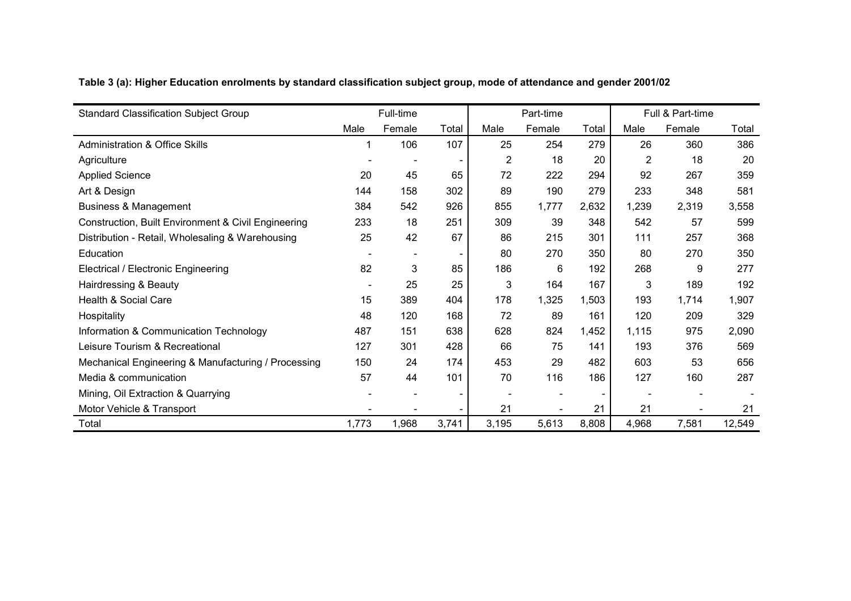| <b>Standard Classification Subject Group</b>        |                          | Full-time                |       |                | Part-time |       |       | Full & Part-time |        |
|-----------------------------------------------------|--------------------------|--------------------------|-------|----------------|-----------|-------|-------|------------------|--------|
|                                                     | Male                     | Female                   | Total | Male           | Female    | Total | Male  | Female           | Total  |
| <b>Administration &amp; Office Skills</b>           |                          | 106                      | 107   | 25             | 254       | 279   | 26    | 360              | 386    |
| Agriculture                                         |                          |                          |       | $\overline{2}$ | 18        | 20    | 2     | 18               | 20     |
| <b>Applied Science</b>                              | 20                       | 45                       | 65    | 72             | 222       | 294   | 92    | 267              | 359    |
| Art & Design                                        | 144                      | 158                      | 302   | 89             | 190       | 279   | 233   | 348              | 581    |
| <b>Business &amp; Management</b>                    | 384                      | 542                      | 926   | 855            | 1,777     | 2,632 | 1,239 | 2,319            | 3,558  |
| Construction, Built Environment & Civil Engineering | 233                      | 18                       | 251   | 309            | 39        | 348   | 542   | 57               | 599    |
| Distribution - Retail, Wholesaling & Warehousing    | 25                       | 42                       | 67    | 86             | 215       | 301   | 111   | 257              | 368    |
| Education                                           |                          | $\overline{\phantom{a}}$ |       | 80             | 270       | 350   | 80    | 270              | 350    |
| Electrical / Electronic Engineering                 | 82                       | 3                        | 85    | 186            | 6         | 192   | 268   | 9                | 277    |
| Hairdressing & Beauty                               | $\overline{\phantom{a}}$ | 25                       | 25    | 3              | 164       | 167   | 3     | 189              | 192    |
| Health & Social Care                                | 15                       | 389                      | 404   | 178            | 1,325     | 1,503 | 193   | 1,714            | 1,907  |
| Hospitality                                         | 48                       | 120                      | 168   | 72             | 89        | 161   | 120   | 209              | 329    |
| Information & Communication Technology              | 487                      | 151                      | 638   | 628            | 824       | 1,452 | 1,115 | 975              | 2,090  |
| Leisure Tourism & Recreational                      | 127                      | 301                      | 428   | 66             | 75        | 141   | 193   | 376              | 569    |
| Mechanical Engineering & Manufacturing / Processing | 150                      | 24                       | 174   | 453            | 29        | 482   | 603   | 53               | 656    |
| Media & communication                               | 57                       | 44                       | 101   | 70             | 116       | 186   | 127   | 160              | 287    |
| Mining, Oil Extraction & Quarrying                  |                          |                          |       |                |           |       |       |                  |        |
| Motor Vehicle & Transport                           |                          |                          |       | 21             |           | 21    | 21    |                  | 21     |
| Total                                               | 1,773                    | 1,968                    | 3,741 | 3,195          | 5,613     | 8,808 | 4,968 | 7,581            | 12,549 |

**Table 3 (a): Higher Education enrolments by standard classification subject group, mode of attendance and gender 2001/02**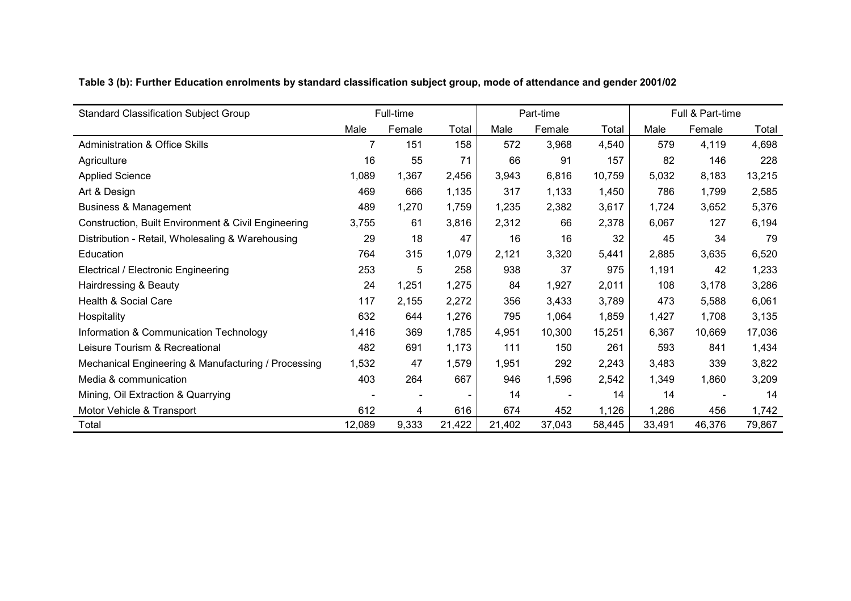| Table 3 (b): Further Education enrolments by standard classification subject group, mode of attendance and gender 2001/02 |
|---------------------------------------------------------------------------------------------------------------------------|
|---------------------------------------------------------------------------------------------------------------------------|

| <b>Standard Classification Subject Group</b>        |        | Full-time |        |        | Part-time |        |        | Full & Part-time |        |
|-----------------------------------------------------|--------|-----------|--------|--------|-----------|--------|--------|------------------|--------|
|                                                     | Male   | Female    | Total  | Male   | Female    | Total  | Male   | Female           | Total  |
| <b>Administration &amp; Office Skills</b>           |        | 151       | 158    | 572    | 3,968     | 4,540  | 579    | 4,119            | 4,698  |
| Agriculture                                         | 16     | 55        | 71     | 66     | 91        | 157    | 82     | 146              | 228    |
| <b>Applied Science</b>                              | 1,089  | 1,367     | 2,456  | 3,943  | 6,816     | 10,759 | 5,032  | 8,183            | 13,215 |
| Art & Design                                        | 469    | 666       | 1,135  | 317    | 1,133     | 1,450  | 786    | 1,799            | 2,585  |
| <b>Business &amp; Management</b>                    | 489    | 1,270     | 1,759  | 1,235  | 2,382     | 3,617  | 1,724  | 3,652            | 5,376  |
| Construction, Built Environment & Civil Engineering | 3,755  | 61        | 3,816  | 2,312  | 66        | 2,378  | 6,067  | 127              | 6,194  |
| Distribution - Retail, Wholesaling & Warehousing    | 29     | 18        | 47     | 16     | 16        | 32     | 45     | 34               | 79     |
| Education                                           | 764    | 315       | 1,079  | 2,121  | 3,320     | 5,441  | 2,885  | 3,635            | 6,520  |
| Electrical / Electronic Engineering                 | 253    | 5         | 258    | 938    | 37        | 975    | 1,191  | 42               | 1,233  |
| Hairdressing & Beauty                               | 24     | 1,251     | 1,275  | 84     | 1,927     | 2,011  | 108    | 3,178            | 3,286  |
| Health & Social Care                                | 117    | 2,155     | 2,272  | 356    | 3,433     | 3,789  | 473    | 5,588            | 6,061  |
| Hospitality                                         | 632    | 644       | 1,276  | 795    | 1,064     | 1,859  | 1,427  | 1,708            | 3,135  |
| Information & Communication Technology              | 1,416  | 369       | 1,785  | 4,951  | 10,300    | 15,251 | 6,367  | 10,669           | 17,036 |
| Leisure Tourism & Recreational                      | 482    | 691       | 1,173  | 111    | 150       | 261    | 593    | 841              | 1,434  |
| Mechanical Engineering & Manufacturing / Processing | 1,532  | 47        | 1,579  | 1,951  | 292       | 2,243  | 3,483  | 339              | 3,822  |
| Media & communication                               | 403    | 264       | 667    | 946    | 1,596     | 2,542  | 1,349  | 1,860            | 3,209  |
| Mining, Oil Extraction & Quarrying                  |        |           |        | 14     |           | 14     | 14     |                  | 14     |
| Motor Vehicle & Transport                           | 612    | 4         | 616    | 674    | 452       | 1,126  | 1,286  | 456              | 1,742  |
| Total                                               | 12,089 | 9,333     | 21,422 | 21,402 | 37,043    | 58,445 | 33,491 | 46,376           | 79,867 |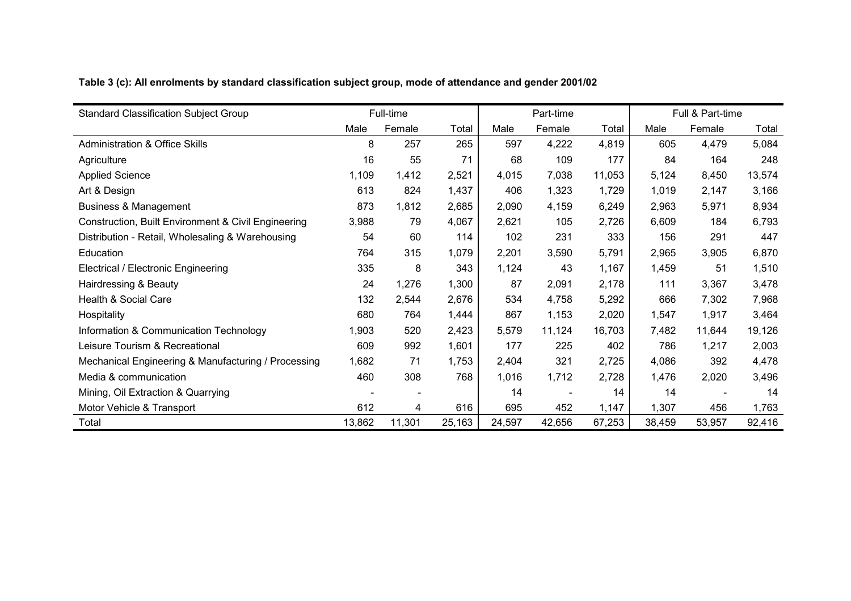|  | Table 3 (c): All enrolments by standard classification subject group, mode of attendance and gender 2001/02 |  |  |  |  |
|--|-------------------------------------------------------------------------------------------------------------|--|--|--|--|
|  |                                                                                                             |  |  |  |  |

| <b>Standard Classification Subject Group</b>        |        | Full-time |        |        | Part-time |        |        | Full & Part-time |        |
|-----------------------------------------------------|--------|-----------|--------|--------|-----------|--------|--------|------------------|--------|
|                                                     | Male   | Female    | Total  | Male   | Female    | Total  | Male   | Female           | Total  |
| <b>Administration &amp; Office Skills</b>           | 8      | 257       | 265    | 597    | 4,222     | 4,819  | 605    | 4,479            | 5,084  |
| Agriculture                                         | 16     | 55        | 71     | 68     | 109       | 177    | 84     | 164              | 248    |
| <b>Applied Science</b>                              | 1,109  | 1,412     | 2,521  | 4,015  | 7,038     | 11,053 | 5,124  | 8,450            | 13,574 |
| Art & Design                                        | 613    | 824       | 1,437  | 406    | 1,323     | 1,729  | 1,019  | 2,147            | 3,166  |
| <b>Business &amp; Management</b>                    | 873    | 1,812     | 2,685  | 2,090  | 4,159     | 6,249  | 2,963  | 5,971            | 8,934  |
| Construction, Built Environment & Civil Engineering | 3,988  | 79        | 4,067  | 2,621  | 105       | 2,726  | 6,609  | 184              | 6,793  |
| Distribution - Retail, Wholesaling & Warehousing    | 54     | 60        | 114    | 102    | 231       | 333    | 156    | 291              | 447    |
| Education                                           | 764    | 315       | 1,079  | 2,201  | 3,590     | 5,791  | 2,965  | 3,905            | 6,870  |
| Electrical / Electronic Engineering                 | 335    | 8         | 343    | 1,124  | 43        | 1,167  | 1,459  | 51               | 1,510  |
| Hairdressing & Beauty                               | 24     | 1,276     | 1,300  | 87     | 2,091     | 2,178  | 111    | 3,367            | 3,478  |
| Health & Social Care                                | 132    | 2,544     | 2,676  | 534    | 4,758     | 5,292  | 666    | 7,302            | 7,968  |
| Hospitality                                         | 680    | 764       | 1,444  | 867    | 1,153     | 2,020  | 1,547  | 1,917            | 3,464  |
| Information & Communication Technology              | 1,903  | 520       | 2,423  | 5,579  | 11,124    | 16,703 | 7,482  | 11,644           | 19,126 |
| Leisure Tourism & Recreational                      | 609    | 992       | 1,601  | 177    | 225       | 402    | 786    | 1,217            | 2,003  |
| Mechanical Engineering & Manufacturing / Processing | 1,682  | 71        | 1,753  | 2,404  | 321       | 2,725  | 4,086  | 392              | 4,478  |
| Media & communication                               | 460    | 308       | 768    | 1,016  | 1,712     | 2,728  | 1,476  | 2,020            | 3,496  |
| Mining, Oil Extraction & Quarrying                  |        |           |        | 14     |           | 14     | 14     |                  | 14     |
| Motor Vehicle & Transport                           | 612    | 4         | 616    | 695    | 452       | 1,147  | 1,307  | 456              | 1,763  |
| Total                                               | 13,862 | 11,301    | 25,163 | 24,597 | 42,656    | 67,253 | 38,459 | 53,957           | 92,416 |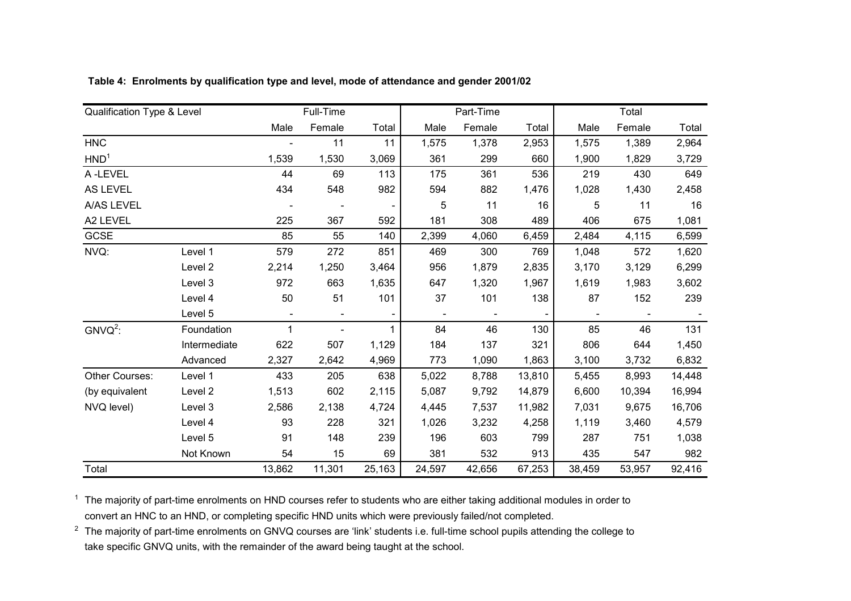| Qualification Type & Level |              |                | Full-Time      |        |                | Part-Time |        |        | Total  |        |
|----------------------------|--------------|----------------|----------------|--------|----------------|-----------|--------|--------|--------|--------|
|                            |              | Male           | Female         | Total  | Male           | Female    | Total  | Male   | Female | Total  |
| <b>HNC</b>                 |              |                | 11             | 11     | 1,575          | 1,378     | 2,953  | 1,575  | 1,389  | 2,964  |
| HND <sup>1</sup>           |              | 1,539          | 1,530          | 3,069  | 361            | 299       | 660    | 1,900  | 1,829  | 3,729  |
| A-LEVEL                    |              | 44             | 69             | 113    | 175            | 361       | 536    | 219    | 430    | 649    |
| <b>AS LEVEL</b>            |              | 434            | 548            | 982    | 594            | 882       | 1,476  | 1,028  | 1,430  | 2,458  |
| A/AS LEVEL                 |              |                |                |        | 5              | 11        | 16     | 5      | 11     | 16     |
| A2 LEVEL                   |              | 225            | 367            | 592    | 181            | 308       | 489    | 406    | 675    | 1,081  |
| GCSE                       |              | 85             | 55             | 140    | 2,399          | 4,060     | 6,459  | 2,484  | 4,115  | 6,599  |
| NVQ:                       | Level 1      | 579            | 272            | 851    | 469            | 300       | 769    | 1,048  | 572    | 1,620  |
|                            | Level 2      | 2,214          | 1,250          | 3,464  | 956            | 1,879     | 2,835  | 3,170  | 3,129  | 6,299  |
|                            | Level 3      | 972            | 663            | 1,635  | 647            | 1,320     | 1,967  | 1,619  | 1,983  | 3,602  |
|                            | Level 4      | 50             | 51             | 101    | 37             | 101       | 138    | 87     | 152    | 239    |
|                            | Level 5      | $\blacksquare$ | $\blacksquare$ |        | $\blacksquare$ |           |        |        |        |        |
| $GNVO2$ :                  | Foundation   | 1              |                |        | 84             | 46        | 130    | 85     | 46     | 131    |
|                            | Intermediate | 622            | 507            | 1,129  | 184            | 137       | 321    | 806    | 644    | 1,450  |
|                            | Advanced     | 2,327          | 2,642          | 4,969  | 773            | 1,090     | 1,863  | 3,100  | 3,732  | 6,832  |
| Other Courses:             | Level 1      | 433            | 205            | 638    | 5,022          | 8,788     | 13,810 | 5,455  | 8,993  | 14,448 |
| (by equivalent             | Level 2      | 1,513          | 602            | 2,115  | 5,087          | 9,792     | 14,879 | 6,600  | 10,394 | 16,994 |
| NVQ level)                 | Level 3      | 2,586          | 2,138          | 4,724  | 4,445          | 7,537     | 11,982 | 7,031  | 9,675  | 16,706 |
|                            | Level 4      | 93             | 228            | 321    | 1,026          | 3,232     | 4,258  | 1,119  | 3,460  | 4,579  |
|                            | Level 5      | 91             | 148            | 239    | 196            | 603       | 799    | 287    | 751    | 1,038  |
|                            | Not Known    | 54             | 15             | 69     | 381            | 532       | 913    | 435    | 547    | 982    |
| Total                      |              | 13,862         | 11,301         | 25,163 | 24,597         | 42,656    | 67,253 | 38,459 | 53,957 | 92,416 |

**Table 4: Enrolments by qualification type and level, mode of attendance and gender 2001/02**

 $1$  The majority of part-time enrolments on HND courses refer to students who are either taking additional modules in order to convert an HNC to an HND, or completing specific HND units which were previously failed/not completed.

<sup>2</sup> The majority of part-time enrolments on GNVQ courses are 'link' students i.e. full-time school pupils attending the college to take specific GNVQ units, with the remainder of the award being taught at the school.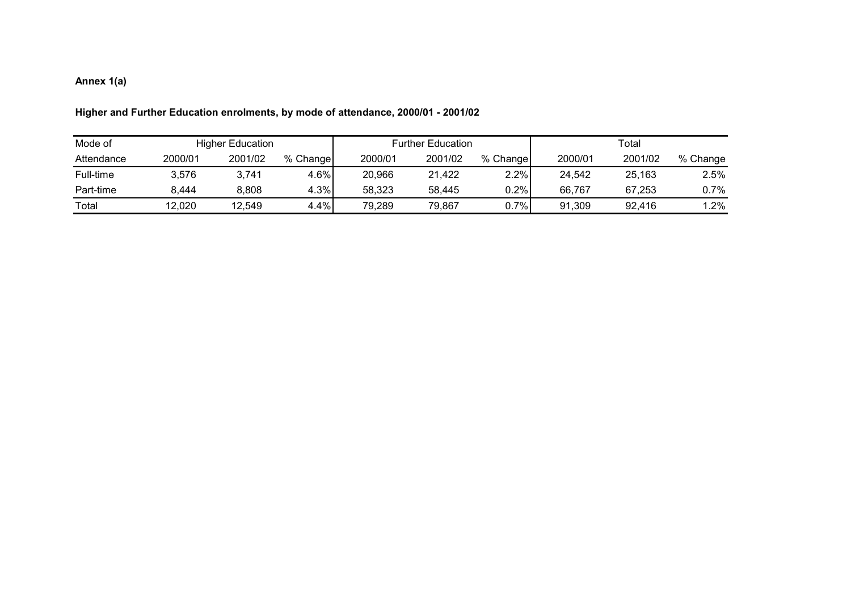## **Annex 1(a)**

| Mode of    |         | <b>Higher Education</b> |          |         | <b>Further Education</b> |          | Total   |         |          |  |  |
|------------|---------|-------------------------|----------|---------|--------------------------|----------|---------|---------|----------|--|--|
| Attendance | 2000/01 | 2001/02                 | % Change | 2000/01 | 2001/02                  | % Change | 2000/01 | 2001/02 | % Change |  |  |
| Full-time  | 3,576   | 3,741                   | 4.6%     | 20,966  | 21,422                   | 2.2%     | 24.542  | 25,163  | 2.5%     |  |  |
| Part-time  | 8.444   | 8,808                   | 4.3%     | 58,323  | 58.445                   | 0.2%     | 66.767  | 67.253  | 0.7%     |  |  |
| Total      | 12,020  | 12.549                  | 4.4%     | 79.289  | 79.867                   | $0.7\%$  | 91.309  | 92.416  | $1.2\%$  |  |  |

## **Higher and Further Education enrolments, by mode of attendance, 2000/01 - 2001/02**